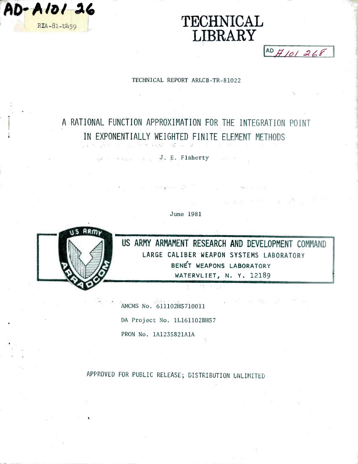



AD  $H$ /01 268

TECHNICAL REPORT ARLCB-TR-81022

# A RATIONAL FUNCTION APPROXIMATION FOR THE INTEGRATION POINT IN EXPONENTIALLY WEIGHTED FINITE ELEMENT METHODS

... J. E. Flaherty

June 1981

医皮膜缺陷 医骨下的



**US ARMY ARMAMENT RESEARCH AND DEVELOPMENT COMMAND LARGE CALIBER WEAPON SYSTEMS LABORATORY BENET WEAPONS LABORATORY WATERVLIET, N. Y.** 12189

**AMCMS No. 611102H5710011 DA Project No. 1L161102BH57 PRON No. 1A1235821A1A**

APPROVED FOR PUBLIC RELEASE; DISTRIBUTION UNLIMITED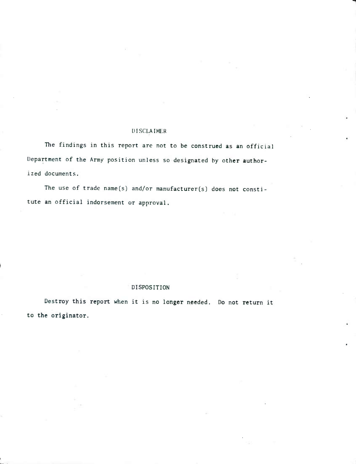## DISCLAIMER

The findings in this report are not to be construed as an official Department of the Army position unless so designated by other authorized documents.

The use of trade name(s) and/or manufacturer(s) does not constitute an official indorsement or approval.

## DISPOSITION

Destroy this report when it is no longer needed. Do not return it to **the** originator.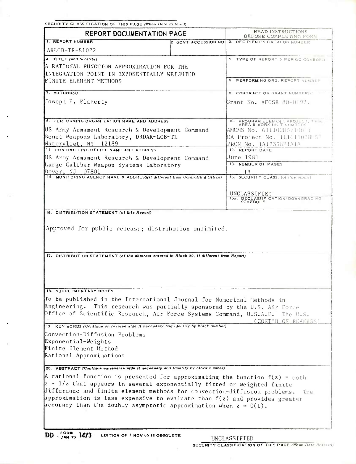| SECURITY CLASSIFICATION OF THIS PAGE (When Dete Entered)                                      |                                                     |
|-----------------------------------------------------------------------------------------------|-----------------------------------------------------|
| <b>REPORT DOCUMENTATION PAGE</b>                                                              | <b>READ INSTRUCTIONS</b><br>BEFORE COMPLETING FORM  |
| 1. REPORT NUMBER                                                                              | 2. GOVT ACCESSION NO. 3. RECIPIENT'S CATALOG NUMBER |
| ARLCB-TR-81022                                                                                |                                                     |
| 4. TITLE (and Subtitle)                                                                       | S. TYPE OF REPORT & PERIOD COVERED                  |
| A RATIONAL FUNCTION APPROXIMATION FOR THE                                                     |                                                     |
| INTEGRATION POINT IN EXPONENTIALLY WEIGHTED                                                   |                                                     |
| FINITE ELEMENT METHODS                                                                        | 6. PERFORMING ORG. REPORT NUMBER                    |
|                                                                                               |                                                     |
| $7.$ AUTHOR(s)                                                                                | 8. CONTRACT OR GRANT NUMBER(6)                      |
| Joseph E. Flaherty                                                                            | Grant No. AFOSR 80-0192.                            |
|                                                                                               |                                                     |
| 9. PERFORMING ORGANIZATION NAME AND ADDRESS                                                   |                                                     |
|                                                                                               | PROGRAM ELEMENT PROJECT, TANK                       |
| US Army Armament Research & Development Command                                               | AMCMS No. 611102H5710011                            |
| Benet Weapons Laboratory, DRDAR-LCB-TL                                                        | DA Project No. 1L161102BH57                         |
| Watervliet, NY 12189                                                                          | PRON No. 1A1235821AIA                               |
| 11. CONTROLLING OFFICE NAME AND ADDRESS                                                       | 12. REPORT DATE                                     |
| US Army Armament Research & Development Command                                               | June 1981                                           |
| Large Caliber Weapon Systems Laboratory                                                       | 13. NUMBER OF PAGES                                 |
| Dover, NJ 07801<br>14. MONITORING AGENCY NAME & ADDRESS(If different from Controlling Office) | 18<br>1S. SECURITY CLASS. (of this report)          |
|                                                                                               |                                                     |
|                                                                                               | <u>UNCLASSIFIED</u>                                 |
|                                                                                               | 15a. DECLASSIFICATION/DOWNGRADING                   |
|                                                                                               | <b>SCHEDULE</b>                                     |
|                                                                                               |                                                     |
| 17. DISTRIBUTION STATEMENT (of the abstract entered in Block 20, if different from Report)    |                                                     |
|                                                                                               |                                                     |
|                                                                                               |                                                     |
| 18. SUPPLEMENTARY NOTES                                                                       |                                                     |
| To be published in the International Journal for Numerical Methods in                         |                                                     |
| Engineering. This research was partially sponsored by the U.S. Air Force                      |                                                     |
| Office of Scientific Research, Air Force Systems Command, U.S.A.F.                            | The U.S.                                            |
| 19. KEY WORDS (Continue on reverse side if necessary and identify by block number)            | (CONT'D ON REVERSE)                                 |
|                                                                                               |                                                     |
| Convection-Diffusion Problems                                                                 |                                                     |
| Exponential-Weights<br>Finite Element Method                                                  |                                                     |
| Rational Approximations                                                                       |                                                     |
|                                                                                               |                                                     |
| 20. ABSTFACT (Continue on reverse side if necessary and identify by block number)             |                                                     |
| A rational function is presented for approximating the function $f(z) = \coth z$              |                                                     |
| $z - 1/z$ that appears in several exponentially fitted or weighted finite                     |                                                     |
| difference and finite element methods for convection-diffusion problems.                      | The                                                 |
| approximation is less expensive to evaluate than $f(z)$ and provides greater                  |                                                     |
| accuracy than the doubly asymptotic approximation when $z = 0(1)$ .                           |                                                     |
|                                                                                               |                                                     |
|                                                                                               |                                                     |
|                                                                                               |                                                     |

DD *SJ***FORM** *AH* <sup>73</sup> **M73** EDtTlOM OF <sup>I</sup> MOV <sup>65</sup> IS OBSOLETE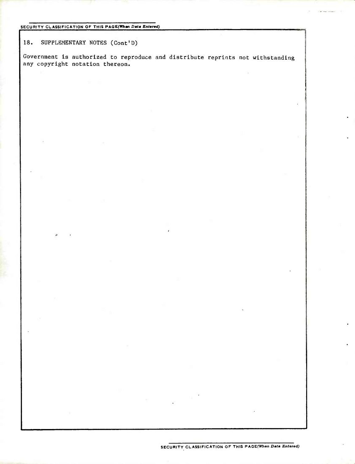**SECURITY CLASSIFICATION OF THIS PAGEfWInn** *Dmtm Bnfnd)*

18. SUPPLEMENTARY NOTES (Cont'D)

Government is authorized to reproduce and distribute reprints not withstanding any copyright notation thereon.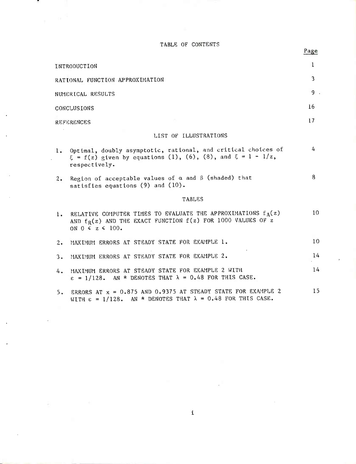## TABLE OF CONTENTS

.

 $\ddot{\phantom{0}}$ 

÷.

 $\epsilon$ 

Page

|    | INTRODUCTION                                                                                                                                                   | 1  |
|----|----------------------------------------------------------------------------------------------------------------------------------------------------------------|----|
|    | RATIONAL FUNCTION APPROXIMATION                                                                                                                                | 3  |
|    | NUMERICAL RESULTS                                                                                                                                              | 9  |
|    | CONCLUSIONS                                                                                                                                                    | 16 |
|    | <b>REFERENCES</b>                                                                                                                                              | 17 |
|    | LIST OF ILLUSTRATIONS                                                                                                                                          |    |
|    | 1. Optimal, doubly asymptotic, rational, and critical choices of<br>$\xi = f(z)$ given by equations (1), (6), (8), and $\xi = 1 - 1/z$ ,<br>respectively.      | 4  |
| 2. | Region of acceptable values of $\alpha$ and $\beta$ (shaded) that<br>satisfies equations $(9)$ and $(10)$ .                                                    | 8  |
|    | TABLES                                                                                                                                                         |    |
| 1. | RELATIVE COMPUTER TIMES TO EVALUATE THE APPROXIMATIONS $f_A(z)$<br>AND $f_R(z)$ AND THE EXACT FUNCTION $f(z)$ FOR 1000 VALUES OF z<br>ON $0 \leq z \leq 100$ . | 10 |
| 2. | MAXIMUM ERRORS AT STEADY STATE FOR EXAMPLE 1.                                                                                                                  | 10 |
| 3. | MAXIMUM ERRORS AT STEADY STATE FOR EXAMPLE 2.                                                                                                                  | 14 |
| 4. | MAXIMUM ERRORS AT STEADY STATE FOR EXAMPLE 2 WITH<br>$\epsilon = 1/128$ . AN * DENOTES THAT $\lambda = 0.48$ FOR THIS CASE.                                    | 14 |
| 5. | ERRORS AT x = 0.875 AND 0.9375 AT STEADY STATE FOR EXAMPLE 2<br>WITH $\epsilon = 1/128$ . AN * DENOTES THAT $\lambda = 0.48$ FOR THIS CASE.                    | 15 |

 $\sim$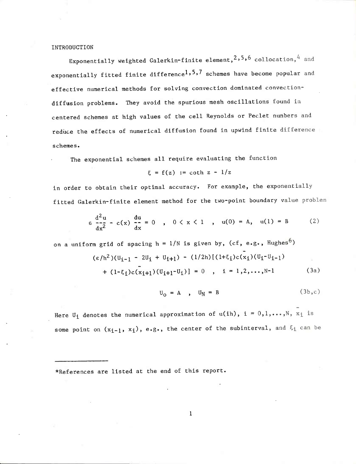#### INTRODUCTION

Exponentially weighted Galerkin-finite element,  $^2$ ,  $^5$ ,  $^6$  collocation,  $^4$  and exponentially fitted finite difference<sup>1,5,7</sup> schemes have become popular and effective numerical methods for solving convection dominated convectiondiffusion problems. They avoid the spurious mesh oscillations found in centered schemes at high values of the cell Reynolds or Peclet numbers and reduce the effects of numerical diffusion found in upwind finite difference schemes.

The exponential schemes all require evaluating the function

 $\xi = f(z) := \coth z - 1/z$ 

in order to obtain their optimal accuracy. For example, the exponentially fitted Galerkin-finite element method for the two-point boundary value problem

$$
\varepsilon \frac{d^2 u}{dx^2} - c(x) \frac{du}{dx} = 0 \quad , \quad 0 < x < 1 \quad , \quad u(0) = A, \quad u(1) = B \tag{2}
$$

on a uniform grid of spacing  $h = 1/N$  is given by, (cf, e.g., Hughes<sup>6</sup>)

$$
(\varepsilon/h^2)(U_{i-1} - 2U_i + U_{i+1}) - (1/2h)[(1+\xi_i)c(x_i)(U_i - U_{i-1})
$$
  
+ 
$$
(1-\xi_i)c(x_{i+1})(U_{i+1} - U_i)] = 0 \quad , \quad i = 1, 2, ..., N-1
$$
 (3a)

$$
U_0 = A \t, \tU_N = B \t(3b, c)
$$

Here  $U_i$  denotes the numerical approximation of u(ih), i = 0,1,...,N,  $x_i$  is some point on  $(x_{i-1}, x_i)$ , e.g., the center of the subinterval, and  $\xi_i$  can be

\*References are listed at the end of this report.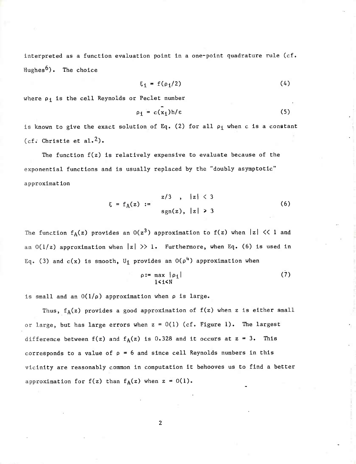interpreted as a function evaluation point In a one-point quadrature rule (cf. Hughes<sup>6</sup>). The choice

$$
\xi_{i} = f(\rho_{i}/2) \tag{4}
$$

where  $\rho_i$  is the cell Reynolds or Peclet number

$$
\rho_1 = c(x_1)h/\epsilon \tag{5}
$$

is known to give the exact solution of Eq. (2) for all  $\rho_1$  when c is a constant (cf. Christie et al.<sup>2</sup>).

The function  $f(z)$  is relatively expensive to evaluate because of the exponential functions and Is usually replaced by the "doubly asymptotic" approximation

$$
\xi = f_A(z) := \begin{cases} z/3, & |z| < 3 \\ \text{sgn}(z), & |z| > 3 \end{cases} \tag{6}
$$

The function  $f_A(z)$  provides an  $O(z^3)$  approximation to  $f(z)$  when  $|z| \ll 1$  and an  $O(1/z)$  approximation when  $|z| \gg 1$ . Furthermore, when Eq. (6) is used in Eq. (3) and c(x) is smooth, U<sub>i</sub> provides an  $O(\rho^4)$  approximation when

$$
\rho := \max_{1 \le i \le N} |\rho_i| \tag{7}
$$

is small and an  $O(1/\rho)$  approximation when  $\rho$  is large.

Thus,  $f_A(z)$  provides a good approximation of  $f(z)$  when z is either small or large, but has large errors when  $z = 0(1)$  (cf. Figure 1). The largest difference between  $f(z)$  and  $f_A(z)$  is 0.328 and it occurs at  $z = 3$ . This corresponds to a value of  $p = 6$  and since cell Reynolds numbers in this vicinity are reasonably common in computation It behooves us to find a better approximation for f(z) than  $f_A(z)$  when  $z = 0(1)$ .

 $\overline{2}$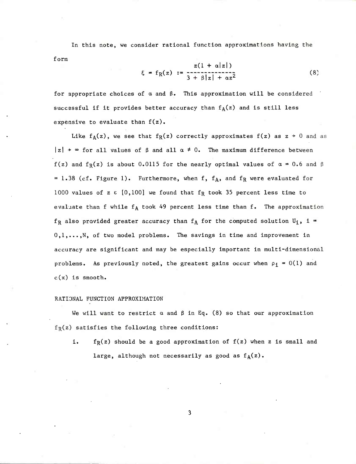In this note, we consider rational function approximations having the form

$$
\xi = f_{R}(z) := \frac{z(1 + \alpha|z|)}{3 + \beta|z| + \alpha z^{2}}
$$
(8)

for appropriate choices of  $\alpha$  and  $\beta$ . This approximation will be considered successful if it provides better accuracy than  $\mathrm{f}_\mathrm{A}(\mathrm{z})$  and is still less expensive to evaluate than f(z).

Like  $f_A(z)$ , we see that  $f_R(z)$  correctly approximates  $f(z)$  as  $z \rightarrow 0$  and as  $|z| \rightarrow \infty$  for all values of  $\beta$  and all  $\alpha \neq 0$ . The maximum difference between  $f(z)$  and  $f_R(z)$  is about 0.0115 for the nearly optimal values of  $\alpha = 0.6$  and  $\beta$ = 1.38 (cf. Figure 1). Furthermore, when f,  $f_A$ , and  $f_R$  were evaluated for 1000 values of z  $\varepsilon$  [0,100] we found that f<sub>R</sub> took 35 percent less time to evaluate than f while  $f^A$  took 49 percent less time than f. The approximation  $f_R$  also provided greater accuracy than  $f_A$  for the computed solution  $U_i$ , i = 0,1,...,N, of two model problems. The savings in time and improvement in accuracy are significant and may be especially important in multi-dimensional problems. As previously noted, the greatest gains occur when  $\rho_1 = O(1)$  and  $c(x)$  is smooth.

#### RATIONAL FUNCTION APPROXIMATION

We will want to restrict  $\alpha$  and  $\beta$  in Eq. (8) so that our approximation  $f_R(z)$  satisfies the following three conditions:

i. f<sub>R</sub>(z) should be a good approximation of  $f(z)$  when z is small and large, although not necessarily as good as  $f_A(z)$ .

 $\overline{\mathbf{3}}$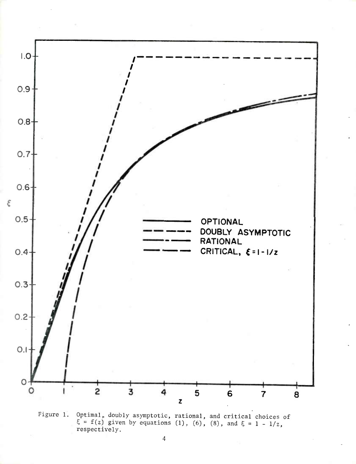

Figure 1. Optimal, doubly asymptotic, rational, and critical choices of  $\xi^* = f(z)$  given by equations (1), (6), (8), and  $\xi = 1 - 1/z$ , respectively.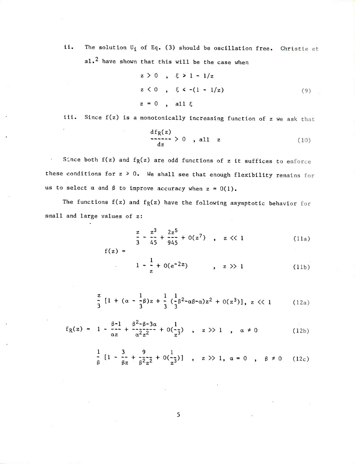ii. The solution  $U_i$  of Eq. (3) should be oscillation free. Christie et al.<sup>2</sup> have shown that this will be the case when

$$
z > 0
$$
,  $\xi > 1 - 1/z$   
 $z < 0$ ,  $\xi < -(1 - 1/z)$  (9)  
 $z = 0$ , all  $\xi$ 

iii. Since f(z) is a monotonically increasing function of <sup>z</sup> we ask that

$$
\frac{df_R(z)}{dz} > 0 \quad , \text{ all } z \tag{10}
$$

Since both  $f(z)$  and  $f_R(z)$  are odd functions of z it suffices to enforce  $\overline{\phantom{a}}$ these conditions for *z <sup>&</sup>gt; 0.* We shall see that enough flexibility remains for us to select  $\alpha$  and  $\beta$  to improve accuracy when  $z = 0(1)$ .

The functions  $f(z)$  and  $f_R(z)$  have the following asymptotic behavior for small and large values of z:

$$
\frac{z}{3} - \frac{z^3}{45} + \frac{2z^5}{945} + 0(z^7) \quad , \quad z \ll 1 \tag{11a}
$$

$$
f(z) = \frac{1}{z} + 0(e^{-2z}) \qquad , \quad z \gg 1 \tag{11b}
$$

$$
\frac{z}{3} [1 + (\alpha - \frac{1}{3}\beta)z + \frac{1}{3} (\frac{1}{3}\beta^2 - \alpha\beta - \alpha)z^2 + O(z^3)], z \ll 1
$$
 (12a)

$$
f_R(z) = 1 - \frac{\beta - 1}{\alpha z} + \frac{\beta^2 - \beta - 3\alpha}{\alpha^2 z^2} + O(\frac{1}{z^3}) \quad , \quad z \gg 1 \quad , \quad \alpha \neq 0
$$
 (12b)

$$
\frac{1}{\beta} \left[ 1 - \frac{3}{\beta z} + \frac{9}{\beta^2 z^2} + 0 \left( \frac{1}{z^3} \right) \right] , \quad z \gg 1, \quad \alpha = 0 , \quad \beta \neq 0 \quad (12c)
$$

5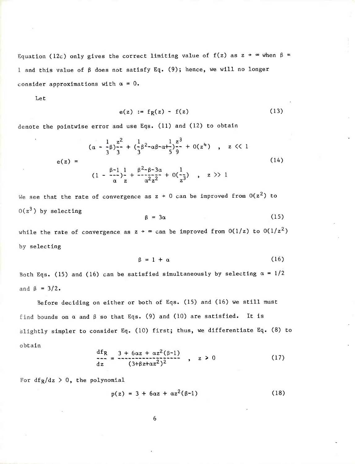Equation (12c) only gives the correct limiting value of  $f(z)$  as  $z \rightarrow \infty$  when  $\beta =$ 1 and this value of  $\beta$  does not satisfy Eq. (9); hence, we will no longer consider approximations with  $\alpha = 0$ .

Let

$$
e(z) := f_R(z) - f(z)
$$
 (13)

denote the pointwlse error and use Eqs. (11) and (12) to obtain

$$
(\alpha - \frac{1}{3}\beta)^{\frac{z^{2}}{3}} + (\frac{1}{3}\beta^{2} - \alpha\beta - \alpha + \frac{1}{5})^{\frac{z^{3}}{3}} + 0(z^{4}) , z \ll 1
$$
  
\ne(z) =  
\n
$$
(1 - \frac{\beta - 1}{\alpha})^{\frac{1}{2}} + \frac{\beta^{2} - \beta - 3\alpha}{\alpha^{2} z^{2}} + 0(\frac{1}{z^{3}}) , z \gg 1
$$
\n(14)

We see that the rate of convergence as  $z \rightarrow 0$  can be improved from  $O(z^2)$  to  $0(z^3)$  by selecting

$$
\beta = 3\alpha \tag{15}
$$

while the rate of convergence as  $z \rightarrow \infty$  can be improved from  $0(1/z)$  to  $0(1/z^2)$ by selecting

$$
\beta = 1 + \alpha \tag{16}
$$

Both Eqs. (15) and (16) can be satisfied simultaneously by selecting  $\alpha = 1/2$ and  $\beta = 3/2$ .

Before deciding on either or both of Eqs. (15) and (16) we still must find bounds on  $\alpha$  and  $\beta$  so that Eqs. (9) and (10) are satisfied. It is slightly simpler to consider Eq. (10) first; thus, we differentiate Eq. (8) to obtain

$$
\frac{df_R}{dz} = \frac{3 + 6\alpha z + \alpha z^2 (\beta - 1)}{(3 + \beta z + \alpha z^2)^2}, \quad z \ge 0
$$
 (17)

For  $df_R/dz > 0$ , the polynomial

$$
p(z) = 3 + 6\alpha z + \alpha z^2(\beta - 1)
$$
 (18)

6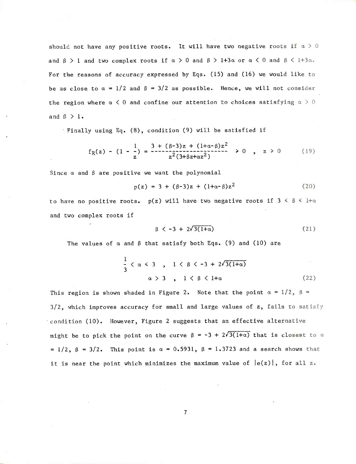should not have any positive roots. It will have two negative roots if  $\alpha > 0$ and  $\beta$  > 1 and two complex roots if  $\alpha$  > 0 and  $\beta$  > 1+3 $\alpha$  or  $\alpha$  < 0 and  $\beta$  < 1+3 $\alpha$ . For the reasons of accuracy expressed by Eqs. (15) and (16) we would like to be as close to  $\alpha = 1/2$  and  $\beta = 3/2$  as possible. Hence, we will not consider the region where  $\alpha < 0$  and confine our attention to choices satisfying  $\alpha > 0$ and  $\beta > 1$ .

Finally using Eq. (8), condition (9) will be satisfied if

$$
f_{R}(z) - (1 - \frac{1}{z}) = \frac{3 + (\beta - 3)z + (1 + \alpha - \beta)z^{2}}{z^{2}(3 + \beta z + \alpha z^{2})} \rightarrow 0 , z \ge 0
$$
 (19)

Since  $\alpha$  and  $\beta$  are positive we want the polynomial

$$
p(z) = 3 + (\beta - 3)z + (1 + \alpha - \beta)z^{2}
$$
 (20)

to have no positive roots.  $p(z)$  will have two negative roots if  $3 \le \beta \le 1+\alpha$ and two complex roots if

$$
\beta \leq -3 + 2\sqrt{3(1+\alpha)} \tag{21}
$$

The values of  $\alpha$  and  $\beta$  that satisfy both Eqs. (9) and (10) are

$$
\frac{1}{3} < \alpha \le 3 \quad , \quad 1 < \beta < -3 + 2\sqrt{3(1+\alpha)}
$$
  

$$
\alpha > 3 \quad , \quad 1 < \beta < 1+\alpha
$$
 (22)

This region is shown shaded in Figure 2. Note that the point  $\alpha = 1/2$ ,  $\beta =$ 3/2, which improves accuracy for small and large values of z, fails to satisfy condition (10). However, Figure <sup>2</sup> suggests that an effective alternative might be to pick the point on the curve  $\beta$  = -3 + 2/3(1+ $\alpha$ ) that is closest to  $\alpha$ =  $1/2$ ,  $\beta$  = 3/2. This point is  $\alpha$  = 0.5931,  $\beta$  = 1.3723 and a search shows that it is near the point which minimizes the maximum value of  $|e(z)|$ , for all z.

 $\overline{7}$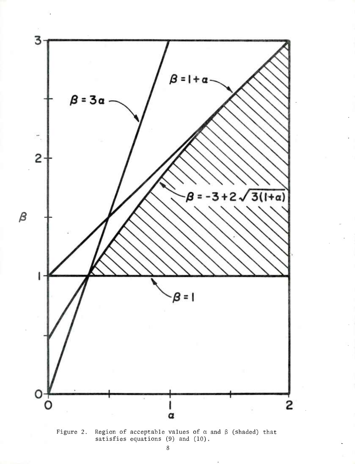

Figure 2. Region of acceptable values of  $\alpha$  and  $\beta$  (shaded) that satisfies equations (9) and (10).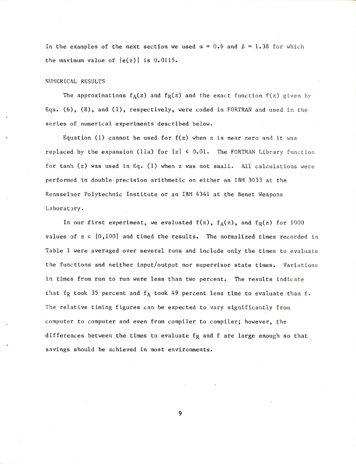In the examples of the next section we used  $\alpha = 0.6$  and  $\beta = 1.38$  for which the maximum value of  $|e(z)|$  is 0.0115.

#### NUMERICAL RESULTS

The approximations  $f_A(z)$  and  $f_R(z)$  and the exact function  $f(z)$  given by Eqs. (6), (8), and (1), respectively, were coded in FORTRAN and used in the series of numerical experiments described below.

Equation (1) cannot be used for  $f(z)$  when z is near zero and it was replaced by the expansion (11a) for  $|z| \le 0.01$ . The FORTRAN Library function for tanh (z) was used in Eq. (1) when z was not small. All calculations were performed in double precision arithmetic on either an IBM 3033 at the Rensselaer Polytechnic Institute or an IBM 4341 at the Benet Weapons Laboratory.

In our first experiment, we evaluated  $f(z)$ ,  $f^A(z)$ , and  $f^R(z)$  for 1000 values of  $z \in [0,100]$  and timed the results. The normalized times recorded in Table <sup>1</sup> were averaged over several runs and include only the times to evaluate the functions and neither input/output nor supervisor state times. Variations in times from run to run were less than two percent. The results indicate that  $f^R$  took 35 percent and  $f^A$  took 49 percent less time to evaluate than f. The relative timing figures can be expected to vary significantly from computer to computer and even from compiler to compiler; however, the differences between the times to evaluate  $f^R$  and f are large enough so that savings should be achieved in most environments.

9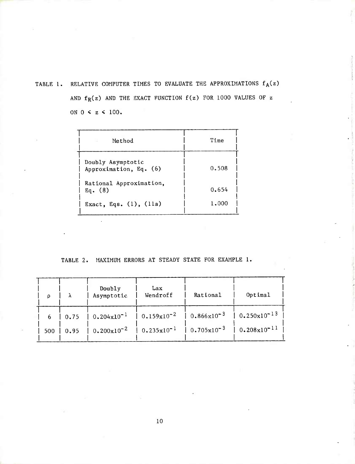TABLE 1. RELATIVE COMPUTER TIMES TO EVALUATE THE APPROXIMATIONS *f^iz)* AND  $f_R(z)$  and the exact function  $f(z)$  for 1000 values of z ON 0 < z < 100.

| $\approx$<br>Method                         | Time  |
|---------------------------------------------|-------|
| Doubly Asymptotic<br>Approximation, Eq. (6) | 0.508 |
| Rational Approximation,<br>Eq. (8)          | 0.654 |
| Exact, Eqs. $(1)$ , $(11a)$                 | 1,000 |

TABLE 2. MAXIMUM ERRORS AT STEADY STATE FOR EXAMPLE 1.

 $\ddot{\phantom{a}}$ 

| ρ   |      | Doubly<br>Asymptotic   | Lax<br>Wendroff | Rational               | Optimal                 |
|-----|------|------------------------|-----------------|------------------------|-------------------------|
| 6   | 0.75 | $0.204 \times 10^{-1}$ | $0.159x10^{-2}$ | $0.866 \times 10^{-3}$ | $0.250 \times 10^{-13}$ |
| 500 | 0.95 | $0.200 \times 10^{-2}$ | $0.235x10^{-1}$ | $0.705 \times 10^{-3}$ | $0.208 \times 10^{-11}$ |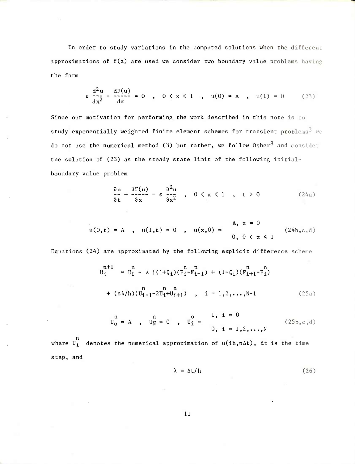In order to study variations in the computed solutions when the different approximations of  $f(z)$  are used we consider two boundary value problems having the form

$$
\varepsilon \frac{d^2 u}{dx^2} - \frac{dF(u)}{dx} = 0 \quad , \quad 0 \le x \le 1 \quad , \quad u(0) = A \quad , \quad u(1) = 0 \tag{23}
$$

Since our motivation for performing the work described in this note is to study exponentially weighted finite element schemes for transient problems<sup>3</sup> we do not use the numerical method (3) but rather, we follow Osher<sup>8</sup> and consider the solution of (23) as the steady state limit of the following initialboundary value problem

$$
\frac{\partial u}{\partial t} + \frac{\partial F(u)}{\partial x} = \epsilon \frac{\partial^2 u}{\partial x^2} , 0 \lt x \lt 1 , t > 0
$$
 (24a)

$$
u(0,t) = A , u(1,t) = 0 , u(x,0) = \begin{cases} A, x = 0 \\ 0, 0 < x < 1 \end{cases}
$$
 (24b,c,d)

Equations (24) are approximated by the following explicit difference scheme

$$
U_{i}^{n+1} = U_{i}^{n} - \lambda \left[ (1 + \xi_{i})(F_{i}^{n} - F_{i-1}^{n}) + (1 - \xi_{i})(F_{i+1}^{n} - F_{i}^{n}) + (\epsilon \lambda / h)(U_{i-1}^{n} - 2U_{i}^{n} + U_{i+1}^{n}) \right], \quad i = 1, 2, ..., N-1
$$
 (25a)

$$
U_0 = A , U_N = 0 , U_1 = \begin{cases} 0 & 1, i = 0 \\ 0, i = 1, 2, ..., N \end{cases}
$$
 (25b, c, d)

where U<sub>i</sub> denotes the numerical approximation of u(ih,nAt), At is the time step, and

$$
\lambda = \Delta t / h \tag{26}
$$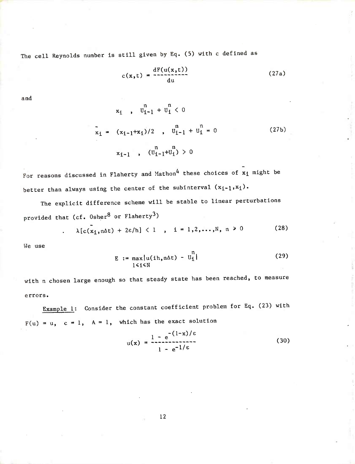The cell Reynolds number is still given by Eq. (5) with c defined as

$$
c(x,t) = \frac{dF(u(x,t))}{du}
$$
 (27a)

and

$$
x_{i} , u_{i-1}^{n} + u_{i}^{n} < 0
$$
  

$$
x_{i} = (x_{i-1} + x_{i})/2 , u_{i-1}^{n} + u_{i}^{n} = 0
$$
 (27b)  

$$
x_{i-1} , (u_{i-1}^{n} + u_{i}^{n}) > 0
$$

 $\frac{1}{2}$  reasons discussed in Flaherty and Mathon $^4$  these choices of  $\mathbf{x_i}$  might be better than always using the center of the subinterval  $(x_{i-1},x_i)$ .

The explicit difference scheme will be stable to linear perturbations provided that (cf. Osher $^8$  or Flaherty $^3)$ 

$$
\lambda[c(x_1, n\Delta t) + 2\varepsilon/h] < 1 \quad , \quad i = 1, 2, ..., N, \quad n \ge 0 \tag{28}
$$

We use

$$
E := \max_{1 \leq i \leq N} |u(ih, n\Delta t) - U_i^n|
$$
 (29)

with n chosen large enough so that steady state has been reached, to measure errors.

Example 1: Consider the constant coefficient problem for Eq. (23) with  $F(u) = u$ ,  $c = 1$ ,  $A = 1$ , which has the exact solution

$$
u(x) = \frac{1 - e^{-(1-x)/\epsilon}}{1 - e^{-1/\epsilon}}
$$
 (30)

$$
^{12}
$$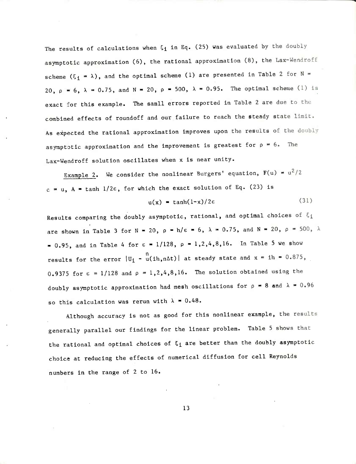The results of calculations when  $\xi_1$  in Eq. (25) was evaluated by the doubly asymptotic approximation (6), the rational approximation (8), **the** Lax-Wendrofl scheme ( $\xi_1 = \lambda$ ), and the optimal scheme (1) are presented in Table 2 for N = 20,  $p = 6$ ,  $\lambda = 0.75$ , and N = 20,  $p = 500$ ,  $\lambda = 0.95$ . The optimal scheme (1) is exact for this example. The samll errors reported in Table 2 are due to the combined effects of roundoff and our failure to reach the steady state limit. As expected the rational approximation improves upon the results of the doubly asymptotic approximation and the improvement is greatest for  $\rho = 6$ . The Lax-Wendroff solution oscillates when x is near unity.

Example 2. We consider the nonlinear Burgers' equation,  $F(u) = u^2/2$  $c = u$ , A = tanh 1/2 $\epsilon$ , for which the exact solution of Eq. (23) is

$$
u(x) = \tanh(1-x)/2\varepsilon \tag{31}
$$

Results comparing the doubly asymptotic, rational, and optimal choices of  $\xi_1$ are shown in Table 3 for N = 20,  $\rho = h/\epsilon = 6$ ,  $\lambda = 0.75$ , and N = 20,  $\rho = 500$ ,  $\lambda$ = 0.95, and in Table 4 for  $\varepsilon = 1/128$ ,  $\rho = 1,2,4,8,16$ . In Table 5 we show results for the error  $|U_i - u(ih,n\Delta t)|$  at steady state and  $x = ih = 0.875$ , 0.9375 for  $\epsilon = 1/128$  and  $\rho = 1,2,4,8,16$ . The solution obtained using the doubly asymptotic approximation had mesh oscillations for  $\rho = 8$  and  $\lambda = 0.96$ so this calculation was rerun with  $\lambda = 0.48$ .

Although accuracy is not as good for this nonlinear example, **the** results generally parallel our findings for the linear problem. Table <sup>5</sup> shows that the rational and optimal choices of  $\xi_1$  are better than the doubly asymptotic choice at reducing the effects of numerical diffusion for cell Reynolds numbers in the range of 2 to 16.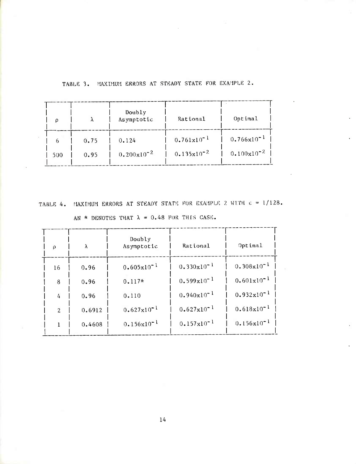TABLE 3. MAXIMUM ERRORS AT STEADY STATE FOR EXAMPLE 2.

| ρ   |      | Doubly<br>Asymptotic   | Rational               | Optimal                |
|-----|------|------------------------|------------------------|------------------------|
| 6   | 0.75 | 0.124                  | $0.761 \times 10^{-1}$ | $0.766 \times 10^{-1}$ |
| 500 | 0.95 | $0.200 \times 10^{-2}$ | $0.135x10^{-2}$        | $0.100 \times 10^{-2}$ |

TABLE 4. MAXIMUM ERRORS AT STEADY STATE FOR EXAMPLE 2 WITH  $\varepsilon = 1/128$ . AN \* DENOTES THAT  $\lambda = 0.48$  FOR THIS CASE.

| ρ              | λ      | Doubly<br>Asymptotic   | Rational               | Optimal                |
|----------------|--------|------------------------|------------------------|------------------------|
| 16             | 0.96   | $0.605x10^{-1}$        | $0.330 \times 10^{-1}$ | $0.308 \times 10^{-1}$ |
| 8              | 0.96   | $0.117*$               | $0.599 \times 10^{-1}$ | $0.601 \times 10^{-1}$ |
| 4              | 0.96   | 0.110                  | $0.940x10^{-1}$        | $0.932 \times 10^{-1}$ |
| $\overline{2}$ | 0.6912 | $0.627 \times 10^{-1}$ | $0.627 \times 10^{-1}$ | $0.618 \times 10^{-1}$ |
|                | 0.4608 | $0.156 \times 10^{-1}$ | $0.157 \times 10^{-1}$ | $0.156 \times 10^{-1}$ |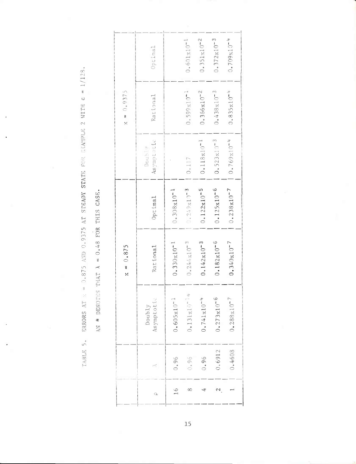*CO* IN**H -'** a.*< it-*  $\approx$ **tu** $STATE$  $\begin{bmatrix} \text{EADY} \\ \text{CASE} \end{bmatrix}$ r-j  $AT$  S<br>THIS **-\* r-~ c-• <sup>C</sup> ~\*** r . *yr:* **F «: r^O** rr:^ **z : ! <«**

 $\cdot$ 

**1 375**<br>**FOR » F i • <: <sup>O</sup> -,•** PH S AT  $\times$ <br>DENOTES **\***

|              | Optimal              |                        | $0.601x10^{-1}$        | $0.351 \times 10^{-2}$ | $0.372 \times 10^{-3}$ | $0.709 \times 10^{-4}$ |
|--------------|----------------------|------------------------|------------------------|------------------------|------------------------|------------------------|
| $x = 0.9375$ | Rational             |                        | $0.599x10^{-1}$        | $0.366 \times 10^{-2}$ | $0.438 \times 10^{-3}$ | $0.835 \times 10^{-4}$ |
|              | Asymptotic<br>Doubly |                        | 0.117                  | $0.118x10^{-1}$        | $0.523x10^{-3}$        | $0.769 \times 10^{-4}$ |
|              | Optimal              | $0.308x10^{-1}$        | $0.249x10^{-3}$        | $0.122 \times 10^{-5}$ | $0.125x10-6$           | $0.238x10^{-7}$        |
| $x = 0.875$  | Rational             | $0.330 \times 10^{-1}$ | $0.244 \times 10^{-3}$ | $0.142 \times 10^{-3}$ | $0.182 \times 10^{-6}$ | $0.340 \times 10^{-7}$ |
|              | Asymptotic<br>Doubly | $0.605\times10^{-1}$   | $0.131x10^{-1}*$       | $0.741\times10^{-4}$   | $0.273x10^{-6}$        | $0.288 \times 10^{-7}$ |
|              |                      | 0.96                   | 0.96                   | 0.96                   | 0.6912                 | 0.4608                 |
|              | Q                    | $\frac{6}{1}$          | $\infty$               |                        | $\sim$                 |                        |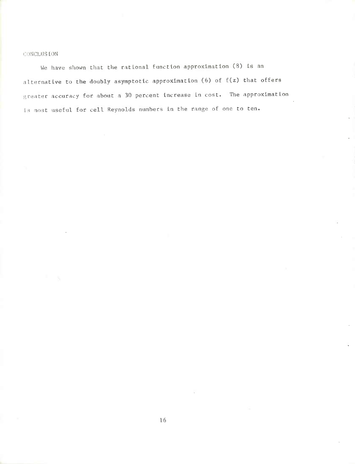### CONCLUS LON

We have shown that the rational function approximation  $(8)$  is an alternative to the doubly asymptotic approximation (6) of f(z) that offers greater accuracy for about a 30 percent Increase In cost. The approximation is most useful for cell Reynolds numbers in the range of one to ten.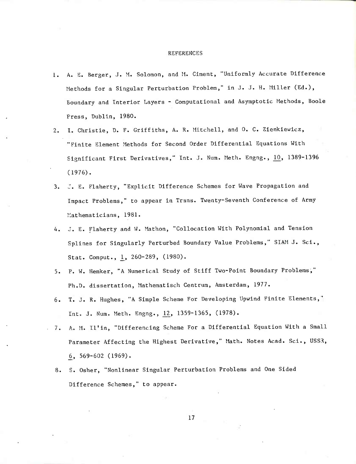#### REFERENCES

- 1. A. E. Berger, J. M. Solomon, and II. Ciment, "Uniformly Accurate Difference Methods for a Singular Perturbation Problem," in J. J. H. Miller (Ed.), Boundary and Interior Layers - Computational and Asymptotic Methods, Boole Press, Dublin, 1980.
- 2. I. Christie, D. F. Griffiths, A. R. Mitchell, and 0. C. Zienkiewicz, "Finite Element Methods for Second Order Differential Equations With Significant First Derivatives," Int. J. Num. Meth. Engng., 10, 1389-1396 (1976).
- 3. J, E. Flaherty, "Explicit Difference Schemes for Wave Propagation and Impact Problems," to appear in Trans. Twenty-Seventh Conference of Army Mathematicians, 1981.
- 4. J. E. Flaherty and W. Mathon, "Collocation With Polynomial and Tension Splines for Singularly Perturbed Boundary Value Problems," SIAM J. Sci., Stat. Comput., *l\_,* 260-289, (1980).
- 5. P. W. Hemker, "A Numerical Study of Stiff Two-Point Boundary Problems," Ph.D. dissertation, Mathematisch Centrum, Amsterdam, 1977.
- 6. T. J. R. Hughes, "A Simple Scheme For Developing Upwind Finite Elements,'' Int. J. Num. Meth. Engng., 12, 1359-1365, (1978).
- 7. A. M. 11'in, "Differencing Scheme For a Differential Equation With a Small Parameter Affecting the Highest Derivative," Math. Notes Acad. Sci., USSR, *6,* 569-602 (1969).
- 8. S. Osher, "Nonlinear Singular Perturbation Problems and One Sided Difference Schemes," to appear.

17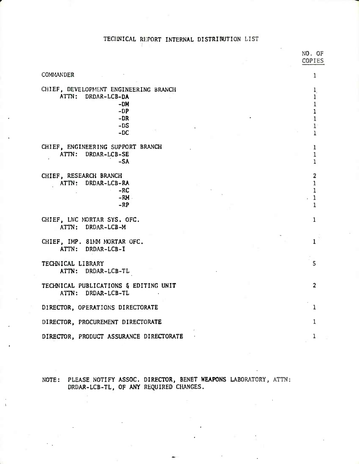# **TECHNICAL RliPORT INTERNAL DISTRIBUTION LIST**

|                                                                                                          |  | NO. OF<br>COPIES                                                                        |
|----------------------------------------------------------------------------------------------------------|--|-----------------------------------------------------------------------------------------|
| <b>COMMANDER</b>                                                                                         |  | $\mathbf{1}$                                                                            |
| CHIEF, DEVELOPMENT ENGINEERING BRANCH<br>ATTN: DRDAR-LCB-DA<br>$-DM$<br>$-DP$<br>$-DR$<br>$-DS$<br>$-DC$ |  | $\mathbf{1}$<br>$\mathbf{1}$<br>$\mathbf{1}$<br>1<br>$\mathbf{1}$<br>$1^{\circ}$<br>1   |
| CHIEF, ENGINEERING SUPPORT BRANCH<br>ATTN: DRDAR-LCB-SE<br>$-SA$                                         |  | $\mathbf{I}$<br>$\mathbf{1}$<br>1                                                       |
| CHIEF, RESEARCH BRANCH<br>ATTN: DRDAR-LCB-RA<br>$-RC$<br>$-RM$ .<br>$-RP$                                |  | $\overline{\mathbf{2}}$<br>$\mathbf{1}$<br>$\mathbf{1}$<br>$\mathbf{1}$<br>$\mathbf{1}$ |
| CHIEF, LWC MORTAR SYS. OFC.<br>ATTN: DRDAR-LCB-M                                                         |  | $\mathbf{1}$                                                                            |
| CHIEF, IMP. 81MM MORTAR OFC.<br>ATTN: DRDAR-LCB-I                                                        |  | 1                                                                                       |
| TECHNICAL LIBRARY<br>ATTN: DRDAR-LCB-TL                                                                  |  | 5                                                                                       |
| TECHNICAL PUBLICATIONS & EDITING UNIT<br>ATTN: DRDAR-LCB-TL                                              |  | $\overline{2}$                                                                          |
| DIRECTOR, OPERATIONS DIRECTORATE                                                                         |  | $\mathbf{1}$                                                                            |
| DIRECTOR, PROCUREMENT DIRECTORATE                                                                        |  | $\mathbf{1}$                                                                            |
| DIRECTOR, PRODUCT ASSURANCE DIRECTORATE                                                                  |  | $\mathbf{1}$                                                                            |

**NOTE: PLEASE NOTIFY ASSOC. DIRECTOR, BENET WEAPONS LABORATORY, ATTN: DRDAR-LCB-TL, OF ANY REQUIRED CHANGES.**

 $\overline{\phantom{a}}$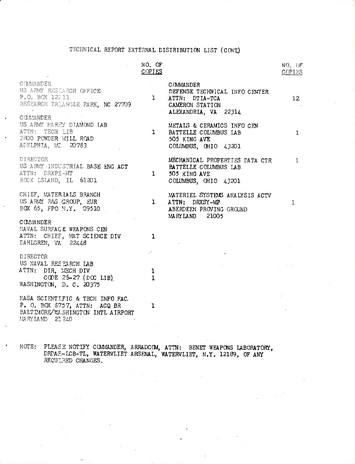# TECHNICAL REPORT EXTERNAL DISTRIBUTION LIST (CONT.)

|                                                                                                                         | NO. OF<br>COPIES             |                                                                                                                | NO. OF<br>COP1FS |
|-------------------------------------------------------------------------------------------------------------------------|------------------------------|----------------------------------------------------------------------------------------------------------------|------------------|
| COMMANDER<br>US ARMY RESEARCH OFFICE.<br>P.O. BOX 12211<br>RESEARCH TRIANGLE PARK. NC 27709<br>COMANDER                 | $\mathbf{1}$                 | <b>COMMANDER</b><br>DEFENSE TECHNICAL INFO CENTER<br>ATTN: DTIA-TCA<br>CAMERON STATION<br>ALEXANDRIA, VA 22314 | 12               |
| US ARMY PAREY DIAMOND LAB<br>ATTN: TECH LIB<br>2800 POWDER MILL ROAD<br>ADELPHIA, MI 20783                              | $\mathbf{1}$                 | METALS & CERAMICS INFO CEN<br>BATTELLE COLUMBUS LAB<br>505 KING AVE<br>COLUMBUS, OHIO 43201                    | $\mathbf{1}$     |
| DIRECTOR<br>US ARMY INDUSTRIAL BASE ENG ACT<br>ATTN: DRXPE-MT<br>ROCK ISLAND, IL 61201                                  | 1.                           | MECHANICAL PROPERTIES DATA CTR<br>BATTELLE COLUMBUS LAB<br>505 KING AVE<br>COLUMBUS, OHIO 43201                | $\mathbf{1}$     |
| CHIEF, MATERIALS BRANCH<br>US ARMY RAS GROUP, EUR<br>BOX 65, FPO N.Y. 09510                                             | 1                            | MATERIEL SYSTEMS ANALYSIS ACTV<br>ATTN: DRXSY-MP<br>ABERDEEN PROVING GROUND<br>MARYLAND 21005                  | T.               |
| COMMANDER<br>NAVAL SURFACE WEAPONS CEN<br>ATTN: CHIEF, MAT SCIENCE DIV<br>DAHLGREN, VA 22448                            | $\mathbf{1}$                 |                                                                                                                |                  |
| DIRECTOR<br>US NAVAL RESEARCH LAB<br>ATTN: DIR, MECH DIV<br>CODE $25-27$ (DOC LIB)<br>WASHINGTON, D. C. 20375           | $\mathbf{I}$<br>$\mathbf{I}$ |                                                                                                                |                  |
| NASA SCIENTIFIC & TECH INFO FAC.<br>P. O. BOX S757, ATTN: ACQ BR<br>BALTIMORE/WASHINGTON INTL AIRPORT<br>MARYLAND 21240 | 1                            |                                                                                                                |                  |
|                                                                                                                         |                              |                                                                                                                |                  |

REQUIRED CHANGES.

 $\overline{a}$ 

NOTE: PLEASE NOTIFY CCMMANDER, ARRADCCM, ATTN: BENET WEAPONS LABORATORY, DRTAF.-LCB-TL, WATERVLIET ARSENAL, WATERVLIET, N.Y. 12189, OF ANY